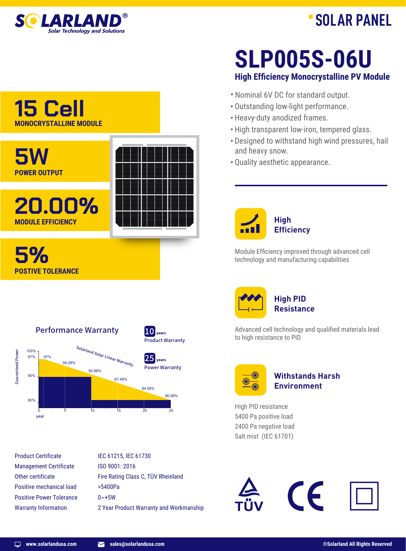

# **SOLAR PANEL**

### **15 Cell MONOCRYSTALLINE MODULE**



Performance Warranty  $10$   $_{\text{years}}$ Product Warranty Solarland Solar Linear Warranty 100% **Guaranteed Power** Guaranteed Power 97% 97%  $25$ <sub>years</sub> 94.28% Power Warranty 90.88% 90% 87.48% 84.08% 80.68% 80% 0 5 10 15 20 25 year

Product Certificate Management Certificate Other certificate Positive mechanical load Positive Power Tolerance Warranty Information

IEC 61215, IEC 61730 ISO 9001: 2016 Fire Rating Class C, TÜV Rheinland >5400Pa  $0 - +5W$ 2 Year Product Warranty and Workmanship

### **High Efficiency Monocrystalline PV Module SLP005S-06U**

- · Nominal 6V DC for standard output.
- · Outstanding low-light performance.
- · Heavy-duty anodized frames.
- · High transparent low-iron, tempered glass.
- · Designed to withstand high wind pressures, hail and heavy snow.
- · Quality aesthetic appearance.



Module Efficiency improved through advanced cell technology and manufacturing capabilities



Advanced cell technology and qualified materials lead to high resistance to PID



### **Withstands Harsh Environment**

High PID resistance 5400 Pa positive load 2400 Pa negative load Salt mist (IEC 61701)